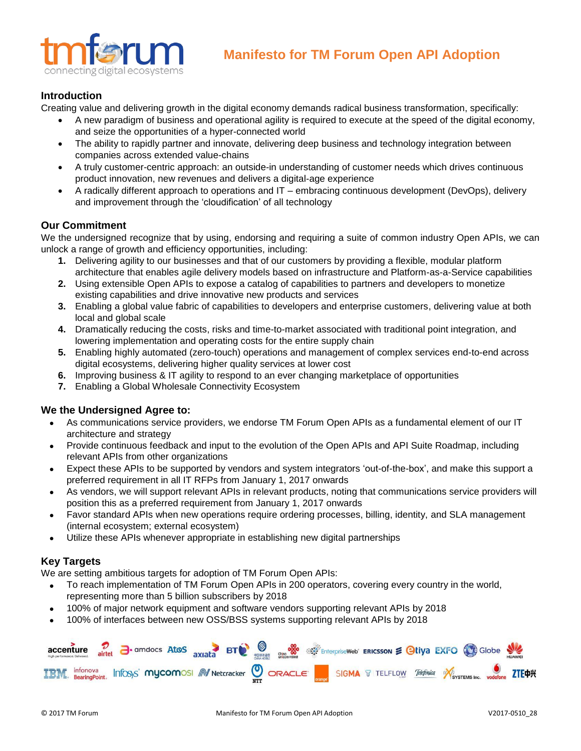

# **Introduction**

Creating value and delivering growth in the digital economy demands radical business transformation, specifically:

- A new paradigm of business and operational agility is required to execute at the speed of the digital economy, and seize the opportunities of a hyper-connected world
- The ability to rapidly partner and innovate, delivering deep business and technology integration between companies across extended value-chains
- A truly customer-centric approach: an outside-in understanding of customer needs which drives continuous product innovation, new revenues and delivers a digital-age experience
- A radically different approach to operations and IT embracing continuous development (DevOps), delivery and improvement through the 'cloudification' of all technology

## **Our Commitment**

We the undersigned recognize that by using, endorsing and requiring a suite of common industry Open APIs, we can unlock a range of growth and efficiency opportunities, including:

- **1.** Delivering agility to our businesses and that of our customers by providing a flexible, modular platform architecture that enables agile delivery models based on infrastructure and Platform-as-a-Service capabilities
- **2.** Using extensible Open APIs to expose a catalog of capabilities to partners and developers to monetize existing capabilities and drive innovative new products and services
- **3.** Enabling a global value fabric of capabilities to developers and enterprise customers, delivering value at both local and global scale
- **4.** Dramatically reducing the costs, risks and time-to-market associated with traditional point integration, and lowering implementation and operating costs for the entire supply chain
- **5.** Enabling highly automated (zero-touch) operations and management of complex services end-to-end across digital ecosystems, delivering higher quality services at lower cost
- **6.** Improving business & IT agility to respond to an ever changing marketplace of opportunities
- **7.** Enabling a Global Wholesale Connectivity Ecosystem

## **We the Undersigned Agree to:**

- As communications service providers, we endorse TM Forum Open APIs as a fundamental element of our IT architecture and strategy
- Provide continuous feedback and input to the evolution of the Open APIs and API Suite Roadmap, including relevant APIs from other organizations
- Expect these APIs to be supported by vendors and system integrators 'out-of-the-box', and make this support a preferred requirement in all IT RFPs from January 1, 2017 onwards
- As vendors, we will support relevant APIs in relevant products, noting that communications service providers will position this as a preferred requirement from January 1, 2017 onwards
- Favor standard APIs when new operations require ordering processes, billing, identity, and SLA management (internal ecosystem; external ecosystem)
- Utilize these APIs whenever appropriate in establishing new digital partnerships

# **Key Targets**

We are setting ambitious targets for adoption of TM Forum Open APIs:

- To reach implementation of TM Forum Open APIs in 200 operators, covering every country in the world, representing more than 5 billion subscribers by 2018
- 100% of major network equipment and software vendors supporting relevant APIs by 2018
- 100% of interfaces between new OSS/BSS systems supporting relevant APIs by 2018